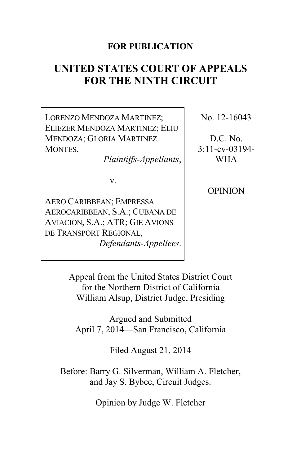## **FOR PUBLICATION**

# **UNITED STATES COURT OF APPEALS FOR THE NINTH CIRCUIT**

LORENZO MENDOZA MARTINEZ; ELIEZER MENDOZA MARTINEZ; ELIU MENDOZA; GLORIA MARTINEZ MONTES,

*Plaintiffs-Appellants*,

v.

AERO CARIBBEAN; EMPRESSA AEROCARIBBEAN, S.A.; CUBANA DE AVIACION, S.A.; ATR; GIE AVIONS DE TRANSPORT REGIONAL, *Defendants-Appellees*. No. 12-16043

D.C. No. 3:11-cv-03194- WHA

**OPINION** 

Appeal from the United States District Court for the Northern District of California William Alsup, District Judge, Presiding

Argued and Submitted April 7, 2014—San Francisco, California

Filed August 21, 2014

Before: Barry G. Silverman, William A. Fletcher, and Jay S. Bybee, Circuit Judges.

Opinion by Judge W. Fletcher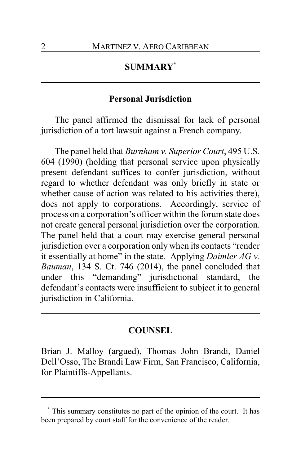# **SUMMARY\***

## **Personal Jurisdiction**

The panel affirmed the dismissal for lack of personal jurisdiction of a tort lawsuit against a French company.

The panel held that *Burnham v. Superior Court*, 495 U.S. 604 (1990) (holding that personal service upon physically present defendant suffices to confer jurisdiction, without regard to whether defendant was only briefly in state or whether cause of action was related to his activities there), does not apply to corporations. Accordingly, service of process on a corporation's officer within the forum state does not create general personal jurisdiction over the corporation. The panel held that a court may exercise general personal jurisdiction over a corporation only when its contacts "render it essentially at home" in the state. Applying *Daimler AG v. Bauman*, 134 S. Ct. 746 (2014), the panel concluded that under this "demanding" jurisdictional standard, the defendant's contacts were insufficient to subject it to general jurisdiction in California.

## **COUNSEL**

Brian J. Malloy (argued), Thomas John Brandi, Daniel Dell'Osso, The Brandi Law Firm, San Francisco, California, for Plaintiffs-Appellants.

**<sup>\*</sup>** This summary constitutes no part of the opinion of the court. It has been prepared by court staff for the convenience of the reader.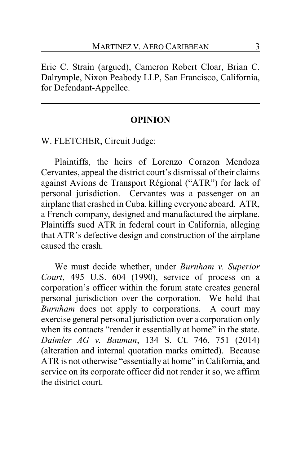Eric C. Strain (argued), Cameron Robert Cloar, Brian C. Dalrymple, Nixon Peabody LLP, San Francisco, California, for Defendant-Appellee.

#### **OPINION**

W. FLETCHER, Circuit Judge:

Plaintiffs, the heirs of Lorenzo Corazon Mendoza Cervantes, appeal the district court's dismissal of their claims against Avions de Transport Régional ("ATR") for lack of personal jurisdiction. Cervantes was a passenger on an airplane that crashed in Cuba, killing everyone aboard. ATR, a French company, designed and manufactured the airplane. Plaintiffs sued ATR in federal court in California, alleging that ATR's defective design and construction of the airplane caused the crash.

We must decide whether, under *Burnham v. Superior Court*, 495 U.S. 604 (1990), service of process on a corporation's officer within the forum state creates general personal jurisdiction over the corporation. We hold that *Burnham* does not apply to corporations. A court may exercise general personal jurisdiction over a corporation only when its contacts "render it essentially at home" in the state. *Daimler AG v. Bauman*, 134 S. Ct. 746, 751 (2014) (alteration and internal quotation marks omitted). Because ATR is not otherwise "essentially at home" in California, and service on its corporate officer did not render it so, we affirm the district court.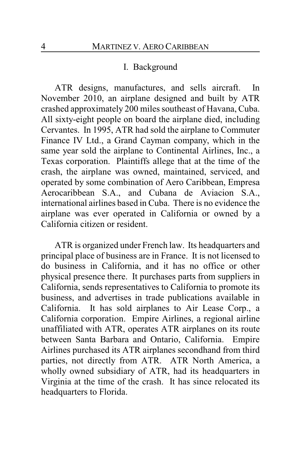#### I. Background

ATR designs, manufactures, and sells aircraft. In November 2010, an airplane designed and built by ATR crashed approximately 200 miles southeast of Havana, Cuba. All sixty-eight people on board the airplane died, including Cervantes. In 1995, ATR had sold the airplane to Commuter Finance IV Ltd., a Grand Cayman company, which in the same year sold the airplane to Continental Airlines, Inc., a Texas corporation. Plaintiffs allege that at the time of the crash, the airplane was owned, maintained, serviced, and operated by some combination of Aero Caribbean, Empresa Aerocaribbean S.A., and Cubana de Aviacion S.A., international airlines based in Cuba. There is no evidence the airplane was ever operated in California or owned by a California citizen or resident.

ATR is organized under French law. Its headquarters and principal place of business are in France. It is not licensed to do business in California, and it has no office or other physical presence there. It purchases parts from suppliers in California, sends representatives to California to promote its business, and advertises in trade publications available in California. It has sold airplanes to Air Lease Corp., a California corporation. Empire Airlines, a regional airline unaffiliated with ATR, operates ATR airplanes on its route between Santa Barbara and Ontario, California. Empire Airlines purchased its ATR airplanes secondhand from third parties, not directly from ATR. ATR North America, a wholly owned subsidiary of ATR, had its headquarters in Virginia at the time of the crash. It has since relocated its headquarters to Florida.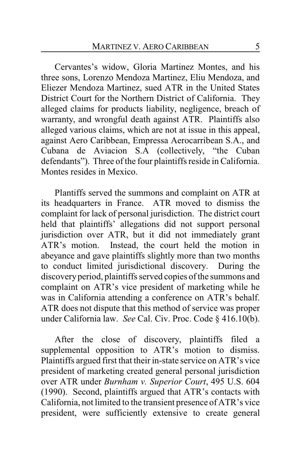Cervantes's widow, Gloria Martinez Montes, and his three sons, Lorenzo Mendoza Martinez, Eliu Mendoza, and Eliezer Mendoza Martinez, sued ATR in the United States District Court for the Northern District of California. They alleged claims for products liability, negligence, breach of warranty, and wrongful death against ATR. Plaintiffs also alleged various claims, which are not at issue in this appeal, against Aero Caribbean, Empressa Aerocarribean S.A., and Cubana de Aviacion S.A (collectively, "the Cuban defendants"). Three of the four plaintiffs reside in California. Montes resides in Mexico.

Plantiffs served the summons and complaint on ATR at its headquarters in France. ATR moved to dismiss the complaint for lack of personal jurisdiction. The district court held that plaintiffs' allegations did not support personal jurisdiction over ATR, but it did not immediately grant ATR's motion. Instead, the court held the motion in abeyance and gave plaintiffs slightly more than two months to conduct limited jurisdictional discovery. During the discoveryperiod, plaintiffs served copies of the summons and complaint on ATR's vice president of marketing while he was in California attending a conference on ATR's behalf. ATR does not dispute that this method of service was proper under California law. *See* Cal. Civ. Proc. Code § 416.10(b).

After the close of discovery, plaintiffs filed a supplemental opposition to ATR's motion to dismiss. Plaintiffs argued first that their in-state service on ATR's vice president of marketing created general personal jurisdiction over ATR under *Burnham v. Superior Court*, 495 U.S. 604 (1990). Second, plaintiffs argued that ATR's contacts with California, not limited to the transient presence of ATR's vice president, were sufficiently extensive to create general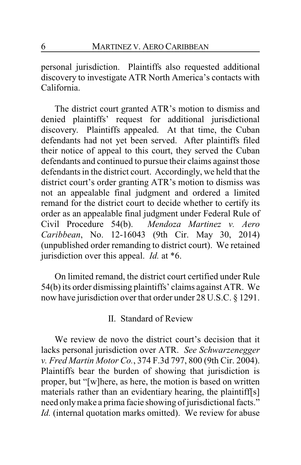personal jurisdiction. Plaintiffs also requested additional discovery to investigate ATR North America's contacts with California.

The district court granted ATR's motion to dismiss and denied plaintiffs' request for additional jurisdictional discovery. Plaintiffs appealed. At that time, the Cuban defendants had not yet been served. After plaintiffs filed their notice of appeal to this court, they served the Cuban defendants and continued to pursue their claims against those defendants in the district court. Accordingly, we held that the district court's order granting ATR's motion to dismiss was not an appealable final judgment and ordered a limited remand for the district court to decide whether to certify its order as an appealable final judgment under Federal Rule of Civil Procedure 54(b). *Mendoza Martinez v. Aero Caribbean*, No. 12-16043 (9th Cir. May 30, 2014) (unpublished order remanding to district court). We retained jurisdiction over this appeal. *Id.* at \*6.

On limited remand, the district court certified under Rule 54(b) its order dismissing plaintiffs' claims against ATR. We now have jurisdiction over that order under 28 U.S.C. § 1291.

II. Standard of Review

We review de novo the district court's decision that it lacks personal jurisdiction over ATR. *See Schwarzenegger v. Fred Martin Motor Co.*, 374 F.3d 797, 800 (9th Cir. 2004). Plaintiffs bear the burden of showing that jurisdiction is proper, but "[w]here, as here, the motion is based on written materials rather than an evidentiary hearing, the plaintiff[s] need onlymake a prima facie showing of jurisdictional facts." *Id.* (internal quotation marks omitted). We review for abuse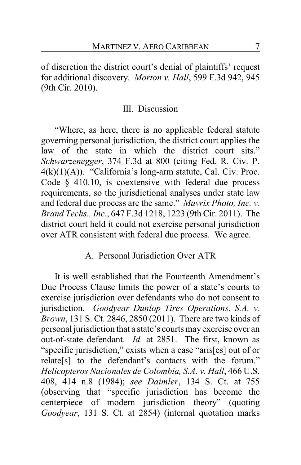of discretion the district court's denial of plaintiffs' request for additional discovery. *Morton v. Hall*, 599 F.3d 942, 945 (9th Cir. 2010).

## III. Discussion

"Where, as here, there is no applicable federal statute governing personal jurisdiction, the district court applies the law of the state in which the district court sits." *Schwarzenegger*, 374 F.3d at 800 (citing Fed. R. Civ. P.  $4(k)(1)(A)$ . "California's long-arm statute, Cal. Civ. Proc. Code § 410.10, is coextensive with federal due process requirements, so the jurisdictional analyses under state law and federal due process are the same." *Mavrix Photo, Inc. v. Brand Techs., Inc.*, 647 F.3d 1218, 1223 (9th Cir. 2011). The district court held it could not exercise personal jurisdiction over ATR consistent with federal due process. We agree.

## A. Personal Jurisdiction Over ATR

It is well established that the Fourteenth Amendment's Due Process Clause limits the power of a state's courts to exercise jurisdiction over defendants who do not consent to jurisdiction. *Goodyear Dunlop Tires Operations, S.A. v. Brown*, 131 S. Ct. 2846, 2850 (2011). There are two kinds of personal jurisdiction that a state's courts mayexercise over an out-of-state defendant. *Id.* at 2851. The first, known as "specific jurisdiction," exists when a case "aris[es] out of or relate[s] to the defendant's contacts with the forum." *Helicopteros Nacionales de Colombia, S.A. v. Hall*, 466 U.S. 408, 414 n.8 (1984); *see Daimler*, 134 S. Ct. at 755 (observing that "specific jurisdiction has become the centerpiece of modern jurisdiction theory" (quoting *Goodyear*, 131 S. Ct. at 2854) (internal quotation marks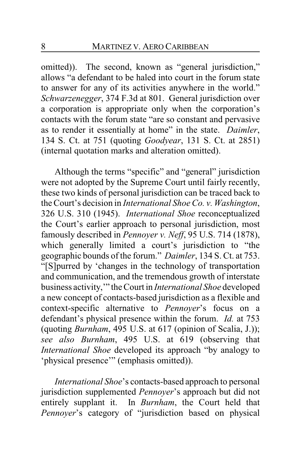omitted)). The second, known as "general jurisdiction," allows "a defendant to be haled into court in the forum state to answer for any of its activities anywhere in the world." *Schwarzenegger*, 374 F.3d at 801. General jurisdiction over a corporation is appropriate only when the corporation's contacts with the forum state "are so constant and pervasive as to render it essentially at home" in the state. *Daimler*, 134 S. Ct. at 751 (quoting *Goodyear*, 131 S. Ct. at 2851) (internal quotation marks and alteration omitted).

Although the terms "specific" and "general" jurisdiction were not adopted by the Supreme Court until fairly recently, these two kinds of personal jurisdiction can be traced back to the Court's decision in *International Shoe Co. v. Washington*, 326 U.S. 310 (1945). *International Shoe* reconceptualized the Court's earlier approach to personal jurisdiction, most famously described in *Pennoyer v. Neff*, 95 U.S. 714 (1878), which generally limited a court's jurisdiction to "the geographic bounds of the forum." *Daimler*, 134 S. Ct. at 753. "[S]purred by 'changes in the technology of transportation and communication, and the tremendous growth of interstate business activity,'" the Court in *International Shoe* developed a new concept of contacts-based jurisdiction as a flexible and context-specific alternative to *Pennoyer*'s focus on a defendant's physical presence within the forum. *Id.* at 753 (quoting *Burnham*, 495 U.S. at 617 (opinion of Scalia, J.)); *see also Burnham*, 495 U.S. at 619 (observing that *International Shoe* developed its approach "by analogy to 'physical presence'" (emphasis omitted)).

*International Shoe*'s contacts-based approach to personal jurisdiction supplemented *Pennoyer*'s approach but did not entirely supplant it. In *Burnham*, the Court held that *Pennoyer*'s category of "jurisdiction based on physical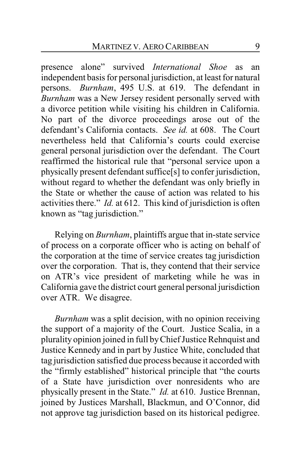presence alone" survived *International Shoe* as an independent basis for personal jurisdiction, at least for natural persons. *Burnham*, 495 U.S. at 619. The defendant in *Burnham* was a New Jersey resident personally served with a divorce petition while visiting his children in California. No part of the divorce proceedings arose out of the defendant's California contacts. *See id.* at 608. The Court nevertheless held that California's courts could exercise general personal jurisdiction over the defendant. The Court reaffirmed the historical rule that "personal service upon a physically present defendant suffice[s] to confer jurisdiction, without regard to whether the defendant was only briefly in the State or whether the cause of action was related to his activities there." *Id.* at 612. This kind of jurisdiction is often known as "tag jurisdiction."

Relying on *Burnham*, plaintiffs argue that in-state service of process on a corporate officer who is acting on behalf of the corporation at the time of service creates tag jurisdiction over the corporation. That is, they contend that their service on ATR's vice president of marketing while he was in California gave the district court general personal jurisdiction over ATR. We disagree.

*Burnham* was a split decision, with no opinion receiving the support of a majority of the Court. Justice Scalia, in a plurality opinion joined in full byChief Justice Rehnquist and Justice Kennedy and in part by Justice White, concluded that tag jurisdiction satisfied due process because it accorded with the "firmly established" historical principle that "the courts of a State have jurisdiction over nonresidents who are physically present in the State." *Id.* at 610. Justice Brennan, joined by Justices Marshall, Blackmun, and O'Connor, did not approve tag jurisdiction based on its historical pedigree.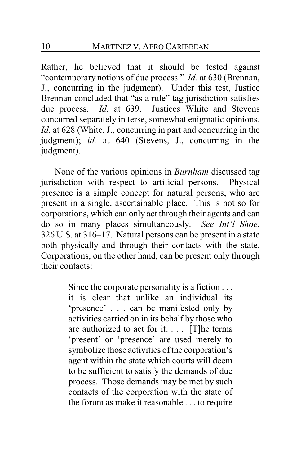Rather, he believed that it should be tested against "contemporary notions of due process." *Id.* at 630 (Brennan, J., concurring in the judgment). Under this test, Justice Brennan concluded that "as a rule" tag jurisdiction satisfies due process. *Id.* at 639. Justices White and Stevens concurred separately in terse, somewhat enigmatic opinions. *Id.* at 628 (White, J., concurring in part and concurring in the judgment); *id.* at 640 (Stevens, J., concurring in the judgment).

None of the various opinions in *Burnham* discussed tag jurisdiction with respect to artificial persons. Physical presence is a simple concept for natural persons, who are present in a single, ascertainable place. This is not so for corporations, which can only act through their agents and can do so in many places simultaneously. *See Int'l Shoe*, 326 U.S. at 316–17. Natural persons can be present in a state both physically and through their contacts with the state. Corporations, on the other hand, can be present only through their contacts:

> Since the corporate personality is a fiction . . . it is clear that unlike an individual its 'presence' . . . can be manifested only by activities carried on in its behalf by those who are authorized to act for it. . . . [T]he terms 'present' or 'presence' are used merely to symbolize those activities of the corporation's agent within the state which courts will deem to be sufficient to satisfy the demands of due process. Those demands may be met by such contacts of the corporation with the state of the forum as make it reasonable . . . to require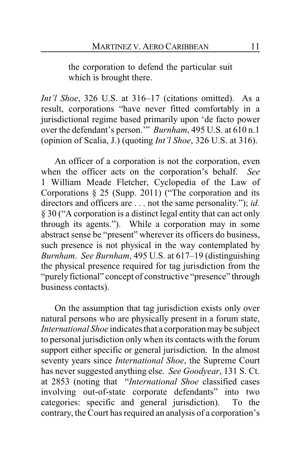the corporation to defend the particular suit which is brought there.

*Int'l Shoe*, 326 U.S. at 316–17 (citations omitted). As a result, corporations "have never fitted comfortably in a jurisdictional regime based primarily upon 'de facto power over the defendant's person.'" *Burnham*, 495 U.S. at 610 n.1 (opinion of Scalia, J.) (quoting *Int'l Shoe*, 326 U.S. at 316).

An officer of a corporation is not the corporation, even when the officer acts on the corporation's behalf. *See* 1 William Meade Fletcher, Cyclopedia of the Law of Corporations § 25 (Supp. 2011) ("The corporation and its directors and officers are . . . not the same personality."); *id.* § 30 ("A corporation is a distinct legal entity that can act only through its agents."). While a corporation may in some abstract sense be "present" wherever its officers do business, such presence is not physical in the way contemplated by *Burnham*. *See Burnham*, 495 U.S. at 617–19 (distinguishing the physical presence required for tag jurisdiction from the "purely fictional" concept of constructive "presence" through business contacts).

On the assumption that tag jurisdiction exists only over natural persons who are physically present in a forum state, *International Shoe* indicates that a corporation maybe subject to personal jurisdiction only when its contacts with the forum support either specific or general jurisdiction. In the almost seventy years since *International Shoe*, the Supreme Court has never suggested anything else. *See Goodyear*, 131 S. Ct. at 2853 (noting that "*International Shoe* classified cases involving out-of-state corporate defendants" into two categories: specific and general jurisdiction). To the contrary, the Court has required an analysis of a corporation's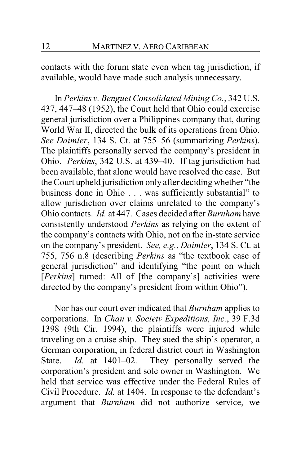contacts with the forum state even when tag jurisdiction, if available, would have made such analysis unnecessary.

In *Perkins v. Benguet Consolidated Mining Co.*, 342 U.S. 437, 447–48 (1952), the Court held that Ohio could exercise general jurisdiction over a Philippines company that, during World War II, directed the bulk of its operations from Ohio. *See Daimler*, 134 S. Ct. at 755–56 (summarizing *Perkins*). The plaintiffs personally served the company's president in Ohio. *Perkins*, 342 U.S. at 439–40. If tag jurisdiction had been available, that alone would have resolved the case. But the Court upheld jurisdiction only after deciding whether "the business done in Ohio . . . was sufficiently substantial" to allow jurisdiction over claims unrelated to the company's Ohio contacts. *Id.* at 447. Cases decided after *Burnham* have consistently understood *Perkins* as relying on the extent of the company's contacts with Ohio, not on the in-state service on the company's president. *See, e.g.*, *Daimler*, 134 S. Ct. at 755, 756 n.8 (describing *Perkins* as "the textbook case of general jurisdiction" and identifying "the point on which [*Perkins*] turned: All of [the company's] activities were directed by the company's president from within Ohio").

Nor has our court ever indicated that *Burnham* applies to corporations. In *Chan v. Society Expeditions, Inc.*, 39 F.3d 1398 (9th Cir. 1994), the plaintiffs were injured while traveling on a cruise ship. They sued the ship's operator, a German corporation, in federal district court in Washington State. *Id.* at 1401–02. They personally served the corporation's president and sole owner in Washington. We held that service was effective under the Federal Rules of Civil Procedure. *Id.* at 1404. In response to the defendant's argument that *Burnham* did not authorize service, we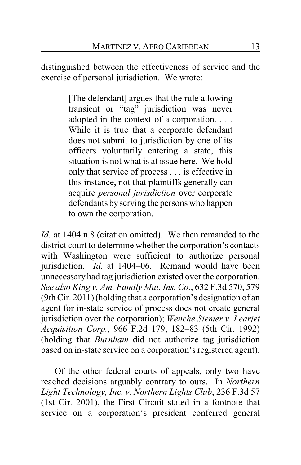distinguished between the effectiveness of service and the exercise of personal jurisdiction. We wrote:

> [The defendant] argues that the rule allowing transient or "tag" jurisdiction was never adopted in the context of a corporation. . . . While it is true that a corporate defendant does not submit to jurisdiction by one of its officers voluntarily entering a state, this situation is not what is at issue here. We hold only that service of process . . . is effective in this instance, not that plaintiffs generally can acquire *personal jurisdiction* over corporate defendants byserving the persons who happen to own the corporation.

*Id.* at 1404 n.8 (citation omitted). We then remanded to the district court to determine whether the corporation's contacts with Washington were sufficient to authorize personal jurisdiction. *Id.* at 1404–06. Remand would have been unnecessary had tag jurisdiction existed over the corporation. *See also King v. Am. Family Mut. Ins. Co.*, 632 F.3d 570, 579 (9th Cir. 2011) (holding that a corporation's designation of an agent for in-state service of process does not create general jurisdiction over the corporation); *Wenche Siemer v. Learjet Acquisition Corp.*, 966 F.2d 179, 182–83 (5th Cir. 1992) (holding that *Burnham* did not authorize tag jurisdiction based on in-state service on a corporation's registered agent).

Of the other federal courts of appeals, only two have reached decisions arguably contrary to ours. In *Northern Light Technology, Inc. v. Northern Lights Club*, 236 F.3d 57 (1st Cir. 2001), the First Circuit stated in a footnote that service on a corporation's president conferred general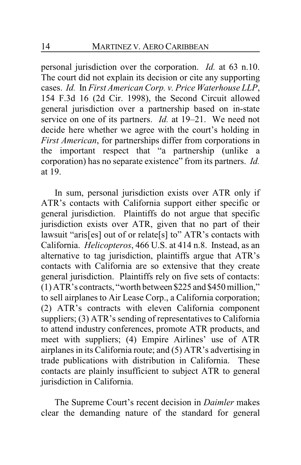personal jurisdiction over the corporation. *Id.* at 63 n.10. The court did not explain its decision or cite any supporting cases. *Id.* In *First American Corp. v. Price Waterhouse LLP*, 154 F.3d 16 (2d Cir. 1998), the Second Circuit allowed general jurisdiction over a partnership based on in-state service on one of its partners. *Id.* at 19–21. We need not decide here whether we agree with the court's holding in *First American*, for partnerships differ from corporations in the important respect that "a partnership (unlike a corporation) has no separate existence" from its partners. *Id.* at 19.

In sum, personal jurisdiction exists over ATR only if ATR's contacts with California support either specific or general jurisdiction. Plaintiffs do not argue that specific jurisdiction exists over ATR, given that no part of their lawsuit "aris[es] out of or relate[s] to" ATR's contacts with California. *Helicopteros*, 466 U.S. at 414 n.8. Instead, as an alternative to tag jurisdiction, plaintiffs argue that ATR's contacts with California are so extensive that they create general jurisdiction. Plaintiffs rely on five sets of contacts: (1) ATR's contracts, "worth between \$225 and \$450 million," to sell airplanes to Air Lease Corp., a California corporation; (2) ATR's contracts with eleven California component suppliers; (3) ATR's sending of representatives to California to attend industry conferences, promote ATR products, and meet with suppliers; (4) Empire Airlines' use of ATR airplanes in its California route; and (5) ATR's advertising in trade publications with distribution in California. These contacts are plainly insufficient to subject ATR to general jurisdiction in California.

The Supreme Court's recent decision in *Daimler* makes clear the demanding nature of the standard for general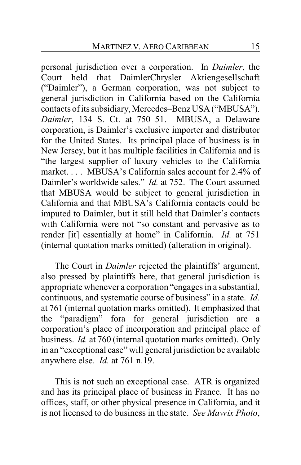personal jurisdiction over a corporation. In *Daimler*, the Court held that DaimlerChrysler Aktiengesellschaft ("Daimler"), a German corporation, was not subject to general jurisdiction in California based on the California contacts of its subsidiary,Mercedes–Benz USA ("MBUSA"). *Daimler*, 134 S. Ct. at 750–51. MBUSA, a Delaware corporation, is Daimler's exclusive importer and distributor for the United States. Its principal place of business is in New Jersey, but it has multiple facilities in California and is "the largest supplier of luxury vehicles to the California market.... MBUSA's California sales account for 2.4% of Daimler's worldwide sales." *Id.* at 752. The Court assumed that MBUSA would be subject to general jurisdiction in California and that MBUSA's California contacts could be imputed to Daimler, but it still held that Daimler's contacts with California were not "so constant and pervasive as to render [it] essentially at home" in California. *Id.* at 751 (internal quotation marks omitted) (alteration in original).

The Court in *Daimler* rejected the plaintiffs' argument, also pressed by plaintiffs here, that general jurisdiction is appropriate whenever a corporation "engages in a substantial, continuous, and systematic course of business" in a state. *Id.* at 761 (internal quotation marks omitted). It emphasized that the "paradigm" fora for general jurisdiction are a corporation's place of incorporation and principal place of business. *Id.* at 760 (internal quotation marks omitted). Only in an "exceptional case" will general jurisdiction be available anywhere else. *Id.* at 761 n.19.

This is not such an exceptional case. ATR is organized and has its principal place of business in France. It has no offices, staff, or other physical presence in California, and it is not licensed to do business in the state. *See Mavrix Photo*,